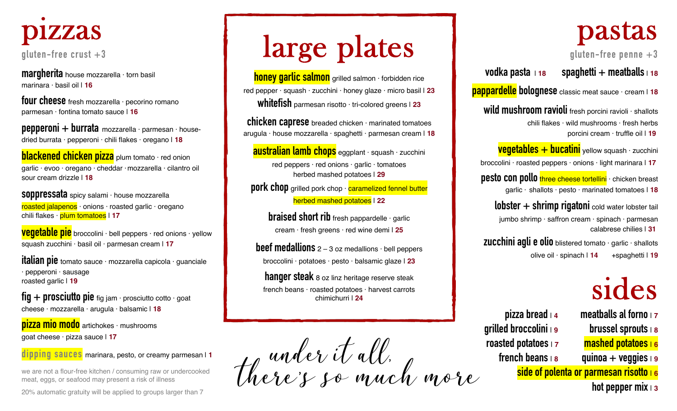

**margherita** house mozzarella · torn basil marinara · basil oil | **16**

**four cheese** fresh mozzarella · pecorino romano parmesan · fontina tomato sauce | **16**

**pepperoni + burrata** mozzarella · parmesan · housedried burrata · pepperoni · chili flakes · oregano | **18**

**blackened chicken pizza** plum tomato · red onion garlic · evoo · oregano · cheddar ·mozzarella · cilantro oil sour cream drizzle | **18**

**soppressata** spicy salami · house mozzarella roasted jalapenos · onions · roasted garlic · oregano chili flakes · plum tomatoes | **17**

**vegetable pie** broccolini · bell peppers · red onions · yellow squash zucchini · basil oil · parmesan cream | **17**

**italian pie** tomato sauce · mozzarella capicola · guanciale · pepperoni · sausage roasted garlic | **19**

**fig + prosciutto pie** fig jam · prosciutto cotto · goat cheese · mozzarella · arugula · balsamic | **18**

**pizza mio modo** artichokes · mushrooms goat cheese · pizza sauce | **17**

**dipping sauces** marinara, pesto, or creamy parmesan | **<sup>1</sup>**

we are not a flour-free kitchen / consuming raw or undercooked meat, eggs, or seafood may present a risk of illness

20% automatic gratuity will be applied to groups larger than 7

# large plates

**honey garlic salmon** grilled salmon · forbidden rice red pepper · squash · zucchini · honey glaze · micro basil | **23 whitefish** parmesan risotto · tri-colored greens <sup>|</sup> **<sup>23</sup>**

**chicken caprese** breaded chicken · marinated tomatoes arugula · house mozzarella · spaghetti · parmesan cream | **18**

**australian lamb chops** eggplant · squash · zucchini red peppers · red onions · garlic · tomatoes herbed mashed potatoes | **29**

**pork chop** grilled pork chop · **caramelized fennel butter** herbed mashed potatoes | **22**

> **braised short rib** fresh pappardelle · garlic cream · fresh greens · red wine demi | **25**

**beef medallions** 2 – 3 oz medallions · bell peppers broccolini · potatoes · pesto · balsamic glaze | **23**

**hanger steak** 8 oz linz heritage reserve steak french beans · roasted potatoes · harvest carrots chimichurri | **24**

thoroir it all.<br>Thoroir so much more

#### pastas

**gluten-free penne +3**

**vodka pasta** <sup>|</sup> **<sup>18</sup>spaghetti + meatballs**<sup>|</sup> **<sup>18</sup>**

**pappardellebolognese** classic meat sauce · cream <sup>|</sup> **<sup>18</sup>**

**wild mushroom ravioli** fresh porcini ravioli · shallots chili flakes · wild mushrooms · fresh herbs porcini cream · truffle oil | **19**

**vegetables + bucatini** yellow squash · zucchini broccolini · roasted peppers · onions · light marinara | **17**

**pesto con pollo** three cheese tortellini · chicken breast garlic · shallots · pesto · marinated tomatoes | **18**

**lobster + shrimp rigatoni** cold water lobster tail jumbo shrimp · saffron cream · spinach · parmesan calabrese chilies | **31**

**zucchini agli e olio** blistered tomato · garlic · shallots olive oil · spinach | **14** +spaghetti | **19**

### sides

**grilled broccolini** <sup>|</sup>**9 brussel sprouts** <sup>|</sup>**<sup>8</sup> roasted potatoes** <sup>|</sup>**7 mashed potatoes** <sup>|</sup>**<sup>6</sup> french beans** <sup>|</sup>**8 quinoa + veggies** <sup>|</sup>**<sup>9</sup>**

**pizza bread**<sup>|</sup>**4 meatballs al forno** <sup>|</sup>**<sup>7</sup> side of polenta or parmesan risotto** <sup>|</sup>**<sup>6</sup> hot pepper mix** <sup>|</sup>**<sup>3</sup>**